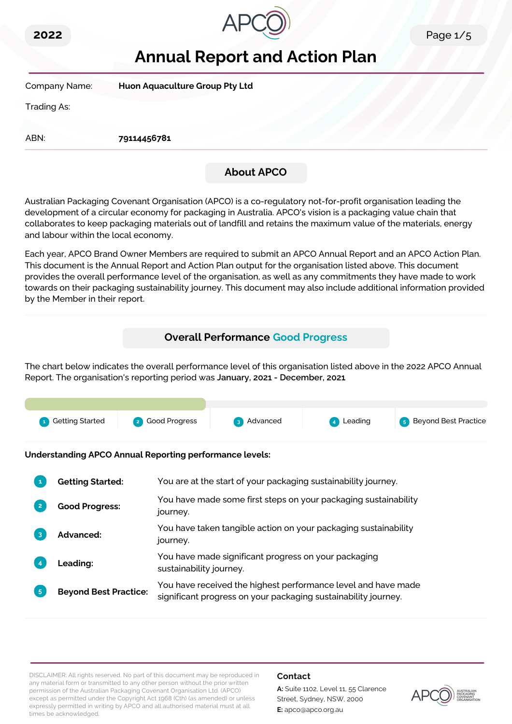



# **Annual Report and Action Plan**

| Company Name: | Huon Aquaculture Group Pty Ltd |
|---------------|--------------------------------|
| Trading As:   |                                |
| ABN:          | 79114456781                    |
|               | <b>About APCO</b>              |

Australian Packaging Covenant Organisation (APCO) is a co-regulatory not-for-profit organisation leading the development of a circular economy for packaging in Australia. APCO's vision is a packaging value chain that collaborates to keep packaging materials out of landfill and retains the maximum value of the materials, energy and labour within the local economy.

Each year, APCO Brand Owner Members are required to submit an APCO Annual Report and an APCO Action Plan. This document is the Annual Report and Action Plan output for the organisation listed above. This document provides the overall performance level of the organisation, as well as any commitments they have made to work towards on their packaging sustainability journey. This document may also include additional information provided by the Member in their report.

## **Overall Performance Good Progress**

The chart below indicates the overall performance level of this organisation listed above in the 2022 APCO Annual Report. The organisation's reporting period was **January, 2021 - December, 2021**.



**Understanding APCO Annual Reporting performance levels:**

|                | <b>Getting Started:</b>      | You are at the start of your packaging sustainability journey.                                                                  |
|----------------|------------------------------|---------------------------------------------------------------------------------------------------------------------------------|
|                | <b>Good Progress:</b>        | You have made some first steps on your packaging sustainability<br>journey.                                                     |
| 3              | <b>Advanced:</b>             | You have taken tangible action on your packaging sustainability<br>journey.                                                     |
|                | <b>Leading:</b>              | You have made significant progress on your packaging<br>sustainability journey.                                                 |
| 5 <sub>5</sub> | <b>Beyond Best Practice:</b> | You have received the highest performance level and have made<br>significant progress on your packaging sustainability journey. |

DISCLAIMER: All rights reserved. No part of this document may be reproduced in any material form or transmitted to any other person without the prior written permission of the Australian Packaging Covenant Organisation Ltd. (APCO) except as permitted under the Copyright Act 1968 (Cth) (as amended) or unless expressly permitted in writing by APCO and all authorised material must at all times be acknowledged.

#### **Contact**

**A:** Suite 1102, Level 11, 55 Clarence Street, Sydney, NSW, 2000 **E:** apco@apco.org.au

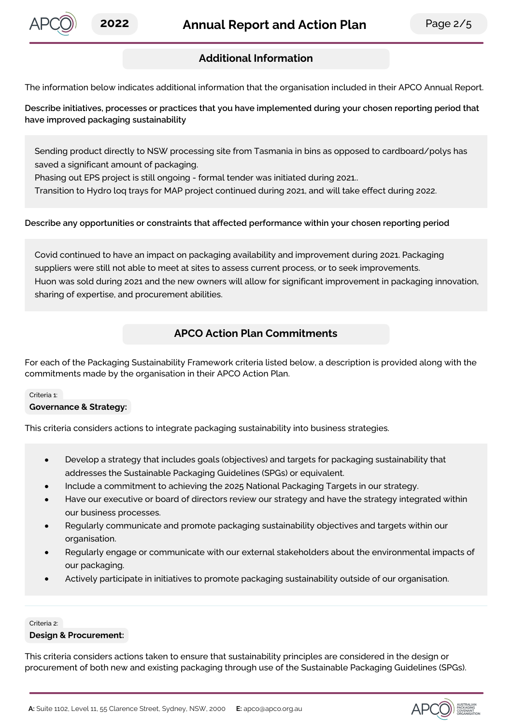

## **Additional Information**

The information below indicates additional information that the organisation included in their APCO Annual Report.

**Describe initiatives, processes or practices that you have implemented during your chosen reporting period that have improved packaging sustainability**

Sending product directly to NSW processing site from Tasmania in bins as opposed to cardboard/polys has saved a significant amount of packaging.

Phasing out EPS project is still ongoing - formal tender was initiated during 2021..

Transition to Hydro loq trays for MAP project continued during 2021, and will take effect during 2022.

#### **Describe any opportunities or constraints that affected performance within your chosen reporting period**

Covid continued to have an impact on packaging availability and improvement during 2021. Packaging suppliers were still not able to meet at sites to assess current process, or to seek improvements. Huon was sold during 2021 and the new owners will allow for significant improvement in packaging innovation, sharing of expertise, and procurement abilities.

## **APCO Action Plan Commitments**

For each of the Packaging Sustainability Framework criteria listed below, a description is provided along with the commitments made by the organisation in their APCO Action Plan.

#### Criteria 1:

#### **Governance & Strategy:**

This criteria considers actions to integrate packaging sustainability into business strategies.

- Develop a strategy that includes goals (objectives) and targets for packaging sustainability that addresses the Sustainable Packaging Guidelines (SPGs) or equivalent.
- Include a commitment to achieving the 2025 National Packaging Targets in our strategy.
- Have our executive or board of directors review our strategy and have the strategy integrated within our business processes.
- Regularly communicate and promote packaging sustainability objectives and targets within our organisation.
- Regularly engage or communicate with our external stakeholders about the environmental impacts of our packaging.
- Actively participate in initiatives to promote packaging sustainability outside of our organisation.

#### Criteria 2:

#### **Design & Procurement:**

This criteria considers actions taken to ensure that sustainability principles are considered in the design or procurement of both new and existing packaging through use of the Sustainable Packaging Guidelines (SPGs).

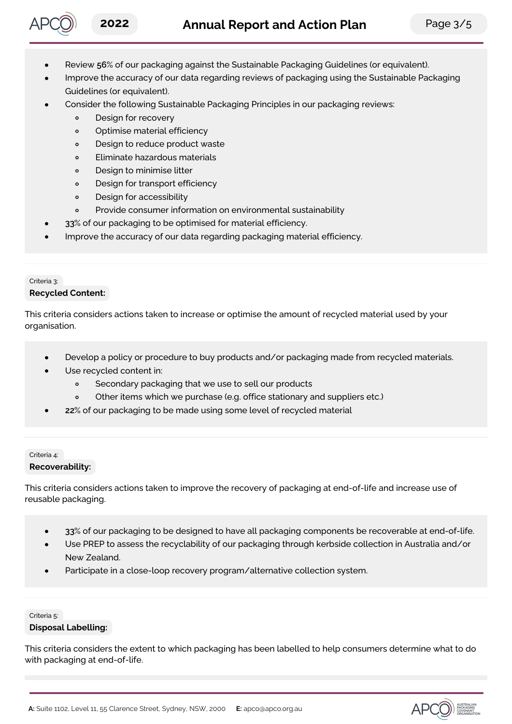

- Review **56**% of our packaging against the Sustainable Packaging Guidelines (or equivalent).
- Improve the accuracy of our data regarding reviews of packaging using the Sustainable Packaging Guidelines (or equivalent).
- Consider the following Sustainable Packaging Principles in our packaging reviews:
	- Design for recovery  $\circ$
	- $\circ$ Optimise material efficiency
	- $\circ$ Design to reduce product waste
	- $\circ$ Eliminate hazardous materials
	- Design to minimise litter  $\circ$
	- $\circ$ Design for transport efficiency
	- Design for accessibility  $\circ$
	- $\circ$ Provide consumer information on environmental sustainability
	- **33**% of our packaging to be optimised for material efficiency.
- Improve the accuracy of our data regarding packaging material efficiency.

#### Criteria 3:

#### **Recycled Content:**

This criteria considers actions taken to increase or optimise the amount of recycled material used by your organisation.

- Develop a policy or procedure to buy products and/or packaging made from recycled materials.
- Use recycled content in:
	- $\circ$ Secondary packaging that we use to sell our products
	- Other items which we purchase (e.g. office stationary and suppliers etc.)  $\circ$
- **22**% of our packaging to be made using some level of recycled material

#### Criteria 4: **Recoverability:**

This criteria considers actions taken to improve the recovery of packaging at end-of-life and increase use of reusable packaging.

- **33**% of our packaging to be designed to have all packaging components be recoverable at end-of-life.
- Use PREP to assess the recyclability of our packaging through kerbside collection in Australia and/or New Zealand.
- Participate in a close-loop recovery program/alternative collection system.

#### Criteria 5:

#### **Disposal Labelling:**

This criteria considers the extent to which packaging has been labelled to help consumers determine what to do with packaging at end-of-life.



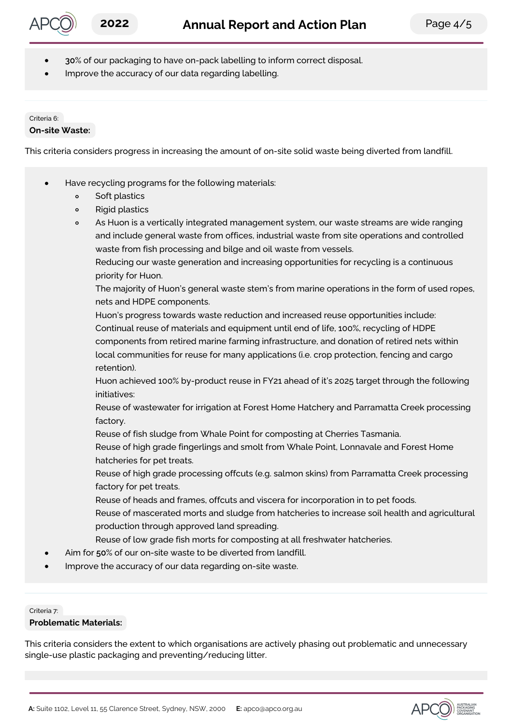- **30**% of our packaging to have on-pack labelling to inform correct disposal.
- Improve the accuracy of our data regarding labelling.

#### Criteria 6:

#### **On-site Waste:**

This criteria considers progress in increasing the amount of on-site solid waste being diverted from landfill.

- Have recycling programs for the following materials:
	- Soft plastics  $\circ$
	- $\circ$ Rigid plastics
	- $\circ$ As Huon is a vertically integrated management system, our waste streams are wide ranging and include general waste from offices, industrial waste from site operations and controlled waste from fish processing and bilge and oil waste from vessels.

Reducing our waste generation and increasing opportunities for recycling is a continuous priority for Huon.

The majority of Huon's general waste stem's from marine operations in the form of used ropes, nets and HDPE components.

Huon's progress towards waste reduction and increased reuse opportunities include: Continual reuse of materials and equipment until end of life, 100%, recycling of HDPE components from retired marine farming infrastructure, and donation of retired nets within local communities for reuse for many applications (i.e. crop protection, fencing and cargo retention).

Huon achieved 100% by-product reuse in FY21 ahead of it's 2025 target through the following initiatives:

Reuse of wastewater for irrigation at Forest Home Hatchery and Parramatta Creek processing factory.

Reuse of fish sludge from Whale Point for composting at Cherries Tasmania.

Reuse of high grade fingerlings and smolt from Whale Point, Lonnavale and Forest Home hatcheries for pet treats.

Reuse of high grade processing offcuts (e.g. salmon skins) from Parramatta Creek processing factory for pet treats.

Reuse of heads and frames, offcuts and viscera for incorporation in to pet foods.

Reuse of mascerated morts and sludge from hatcheries to increase soil health and agricultural production through approved land spreading.

- Reuse of low grade fish morts for composting at all freshwater hatcheries.
- Aim for **50**% of our on-site waste to be diverted from landfill.
- Improve the accuracy of our data regarding on-site waste.

Criteria 7:

#### **Problematic Materials:**

This criteria considers the extent to which organisations are actively phasing out problematic and unnecessary single-use plastic packaging and preventing/reducing litter.